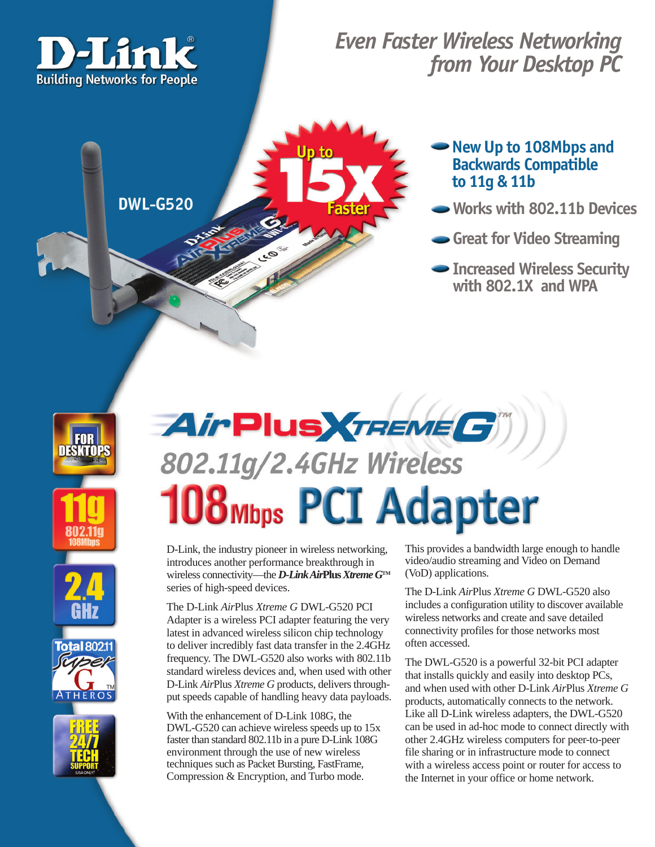

## *Even Faster Wireless Networking from Your Desktop PC*

**DWL-G520** 

## **New Up to 108Mbps and Backwards Compatible to 11g & 11b**

- **Works with 802.11b Devices**
- **Great for Video Streaming**
- **Increased Wireless Security with 802.1X and WPA**









# AirPlus *TREME G* 802.11g/2.4GHz Wireless **108 Mbps PCI Adapter**

D-Link, the industry pioneer in wireless networking, introduces another performance breakthrough in wireless connectivity—the *D-Link Air***Plus** *Xtreme G***TM** series of high-speed devices.

The D-Link *Air*Plus *Xtreme G* DWL-G520 PCI Adapter is a wireless PCI adapter featuring the very latest in advanced wireless silicon chip technology to deliver incredibly fast data transfer in the 2.4GHz frequency. The DWL-G520 also works with 802.11b standard wireless devices and, when used with other D-Link *Air*Plus *Xtreme G* products, delivers throughput speeds capable of handling heavy data payloads.

With the enhancement of D-Link 108G, the DWL-G520 can achieve wireless speeds up to 15x faster than standard 802.11b in a pure D-Link 108G environment through the use of new wireless techniques such as Packet Bursting, FastFrame, Compression & Encryption, and Turbo mode.

This provides a bandwidth large enough to handle video/audio streaming and Video on Demand (VoD) applications.

The D-Link *Air*Plus *Xtreme G* DWL-G520 also includes a configuration utility to discover available wireless networks and create and save detailed connectivity profiles for those networks most often accessed.

The DWL-G520 is a powerful 32-bit PCI adapter that installs quickly and easily into desktop PCs, and when used with other D-Link *Air*Plus *Xtreme G* products, automatically connects to the network. Like all D-Link wireless adapters, the DWL-G520 can be used in ad-hoc mode to connect directly with other 2.4GHz wireless computers for peer-to-peer file sharing or in infrastructure mode to connect with a wireless access point or router for access to the Internet in your office or home network.